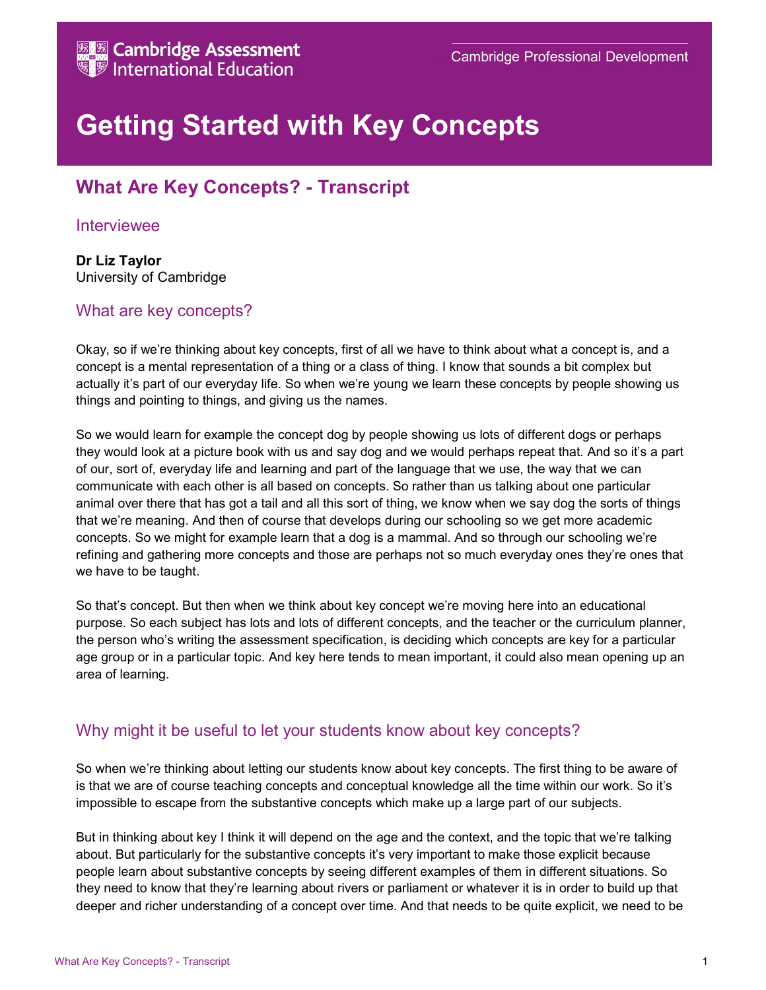# Getting Started with Key Concepts

# What Are Key Concepts? - Transcript

#### Interviewee

Dr Liz Taylor University of Cambridge

### What are key concepts?

Okay, so if we're thinking about key concepts, first of all we have to think about what a concept is, and a concept is a mental representation of a thing or a class of thing. I know that sounds a bit complex but actually it's part of our everyday life. So when we're young we learn these concepts by people showing us things and pointing to things, and giving us the names.

So we would learn for example the concept dog by people showing us lots of different dogs or perhaps they would look at a picture book with us and say dog and we would perhaps repeat that. And so it's a part of our, sort of, everyday life and learning and part of the language that we use, the way that we can communicate with each other is all based on concepts. So rather than us talking about one particular animal over there that has got a tail and all this sort of thing, we know when we say dog the sorts of things that we're meaning. And then of course that develops during our schooling so we get more academic concepts. So we might for example learn that a dog is a mammal. And so through our schooling we're refining and gathering more concepts and those are perhaps not so much everyday ones they're ones that we have to be taught.

So that's concept. But then when we think about key concept we're moving here into an educational purpose. So each subject has lots and lots of different concepts, and the teacher or the curriculum planner, the person who's writing the assessment specification, is deciding which concepts are key for a particular age group or in a particular topic. And key here tends to mean important, it could also mean opening up an area of learning.

## Why might it be useful to let your students know about key concepts?

So when we're thinking about letting our students know about key concepts. The first thing to be aware of is that we are of course teaching concepts and conceptual knowledge all the time within our work. So it's impossible to escape from the substantive concepts which make up a large part of our subjects.

But in thinking about key I think it will depend on the age and the context, and the topic that we're talking about. But particularly for the substantive concepts it's very important to make those explicit because people learn about substantive concepts by seeing different examples of them in different situations. So they need to know that they're learning about rivers or parliament or whatever it is in order to build up that deeper and richer understanding of a concept over time. And that needs to be quite explicit, we need to be